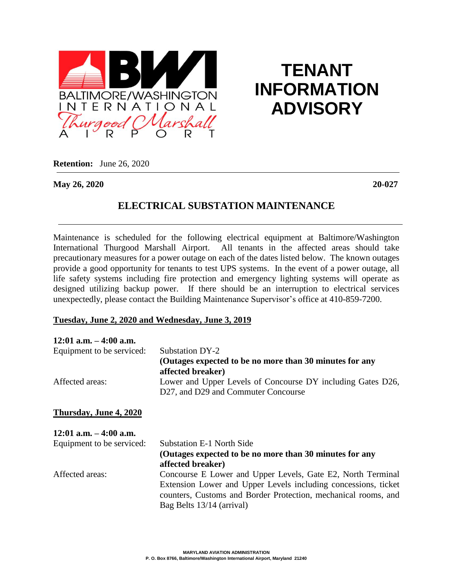

# **TENANT INFORMATION ADVISORY**

**Retention:** June 26, 2020

**May 26, 2020 20-027**

## **ELECTRICAL SUBSTATION MAINTENANCE**

Maintenance is scheduled for the following electrical equipment at Baltimore/Washington International Thurgood Marshall Airport. All tenants in the affected areas should take precautionary measures for a power outage on each of the dates listed below. The known outages provide a good opportunity for tenants to test UPS systems. In the event of a power outage, all life safety systems including fire protection and emergency lighting systems will operate as designed utilizing backup power. If there should be an interruption to electrical services unexpectedly, please contact the Building Maintenance Supervisor's office at 410-859-7200.

#### **Tuesday, June 2, 2020 and Wednesday, June 3, 2019**

| $12:01$ a.m. $-4:00$ a.m. |                                                                                                                             |
|---------------------------|-----------------------------------------------------------------------------------------------------------------------------|
| Equipment to be serviced: | Substation DY-2                                                                                                             |
|                           | (Outages expected to be no more than 30 minutes for any<br>affected breaker)                                                |
| Affected areas:           | Lower and Upper Levels of Concourse DY including Gates D26,<br>D <sub>27</sub> , and D <sub>29</sub> and Commuter Concourse |
| Thursday, June 4, 2020    |                                                                                                                             |
| $12:01$ a.m. $-4:00$ a.m. |                                                                                                                             |
| Equipment to be serviced: | <b>Substation E-1 North Side</b>                                                                                            |
|                           | (Outages expected to be no more than 30 minutes for any                                                                     |
|                           | affected breaker)                                                                                                           |
| Affected areas:           | Concourse E Lower and Upper Levels, Gate E2, North Terminal                                                                 |
|                           | Extension Lower and Upper Levels including concessions, ticket                                                              |
|                           | counters, Customs and Border Protection, mechanical rooms, and                                                              |
|                           | Bag Belts 13/14 (arrival)                                                                                                   |